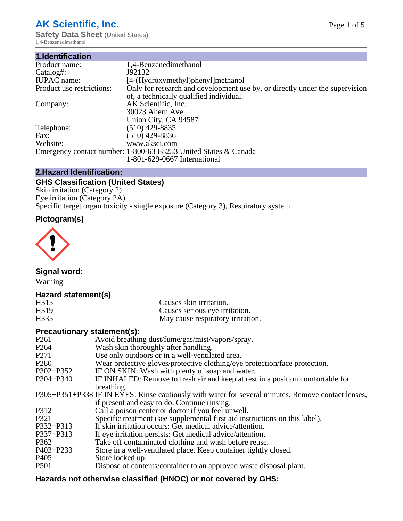## **AK Scientific, Inc.**

**Safety Data Sheet (United States)** 1,4-Benzenedimethanol

| 1.Identification          |                                                                             |
|---------------------------|-----------------------------------------------------------------------------|
| Product name:             | 1,4-Benzenedimethanol                                                       |
| Catalog#:                 | J92132                                                                      |
| <b>IUPAC</b> name:        | [4-(Hydroxymethyl)phenyl]methanol                                           |
| Product use restrictions: | Only for research and development use by, or directly under the supervision |
|                           | of, a technically qualified individual.                                     |
| Company:                  | AK Scientific, Inc.                                                         |
|                           | 30023 Ahern Ave.                                                            |
|                           | Union City, CA 94587                                                        |
| Telephone:                | $(510)$ 429-8835                                                            |
| Fax:                      | (510) 429-8836                                                              |
| Website:                  | www.aksci.com                                                               |
|                           | Emergency contact number: 1-800-633-8253 United States & Canada             |
|                           | 1-801-629-0667 International                                                |

## **2.Hazard Identification:**

## **GHS Classification (United States)**

Skin irritation (Category 2) Eye irritation (Category 2A) Specific target organ toxicity - single exposure (Category 3), Respiratory system

## **Pictogram(s)**



**Signal word:**

Warning

## **Hazard statement(s)**

| H315              | Causes skin irritation.           |
|-------------------|-----------------------------------|
| H <sub>3</sub> 19 | Causes serious eye irritation.    |
| H335              | May cause respiratory irritation. |

## **Precautionary statement(s):**

| P <sub>261</sub> | Avoid breathing dust/fume/gas/mist/vapors/spray.                                                   |
|------------------|----------------------------------------------------------------------------------------------------|
| P <sub>264</sub> | Wash skin thoroughly after handling.                                                               |
| P <sub>271</sub> | Use only outdoors or in a well-ventilated area.                                                    |
| P <sub>280</sub> | Wear protective gloves/protective clothing/eye protection/face protection.                         |
| P302+P352        | IF ON SKIN: Wash with plenty of soap and water.                                                    |
| $P304 + P340$    | IF INHALED: Remove to fresh air and keep at rest in a position comfortable for                     |
|                  | breathing.                                                                                         |
|                  | P305+P351+P338 IF IN EYES: Rinse cautiously with water for several minutes. Remove contact lenses, |
|                  | if present and easy to do. Continue rinsing.                                                       |
| P312             | Call a poison center or doctor if you feel unwell.                                                 |
| P321             | Specific treatment (see supplemental first aid instructions on this label).                        |
| P332+P313        | If skin irritation occurs: Get medical advice/attention.                                           |
| P337+P313        | If eye irritation persists: Get medical advice/attention.                                          |
| P362             | Take off contaminated clothing and wash before reuse.                                              |
| $P403 + P233$    | Store in a well-ventilated place. Keep container tightly closed.                                   |
| P <sub>405</sub> | Store locked up.                                                                                   |
| P <sub>501</sub> | Dispose of contents/container to an approved waste disposal plant.                                 |
|                  |                                                                                                    |

## **Hazards not otherwise classified (HNOC) or not covered by GHS:**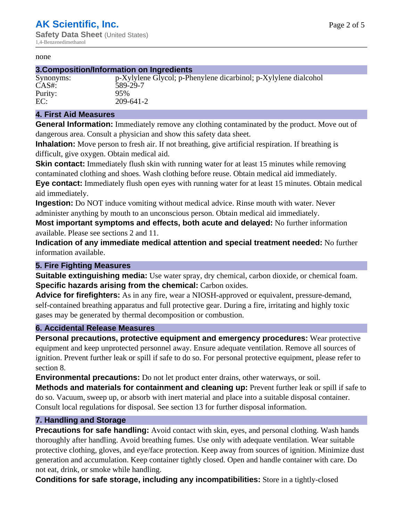#### none

#### **3.Composition/Information on Ingredients**

# Purity: 95%<br>EC: 209-

Synonyms: p-Xylylene Glycol; p-Phenylene dicarbinol; p-Xylylene dialcohol CAS#: 589-29-7 EC: 209-641-2

#### **4. First Aid Measures**

**General Information:** Immediately remove any clothing contaminated by the product. Move out of dangerous area. Consult a physician and show this safety data sheet.

**Inhalation:** Move person to fresh air. If not breathing, give artificial respiration. If breathing is difficult, give oxygen. Obtain medical aid.

**Skin contact:** Immediately flush skin with running water for at least 15 minutes while removing contaminated clothing and shoes. Wash clothing before reuse. Obtain medical aid immediately. **Eye contact:** Immediately flush open eyes with running water for at least 15 minutes. Obtain medical aid immediately.

**Ingestion:** Do NOT induce vomiting without medical advice. Rinse mouth with water. Never administer anything by mouth to an unconscious person. Obtain medical aid immediately.

**Most important symptoms and effects, both acute and delayed:** No further information available. Please see sections 2 and 11.

**Indication of any immediate medical attention and special treatment needed:** No further information available.

#### **5. Fire Fighting Measures**

**Suitable extinguishing media:** Use water spray, dry chemical, carbon dioxide, or chemical foam. **Specific hazards arising from the chemical:** Carbon oxides.

**Advice for firefighters:** As in any fire, wear a NIOSH-approved or equivalent, pressure-demand, self-contained breathing apparatus and full protective gear. During a fire, irritating and highly toxic gases may be generated by thermal decomposition or combustion.

#### **6. Accidental Release Measures**

**Personal precautions, protective equipment and emergency procedures:** Wear protective equipment and keep unprotected personnel away. Ensure adequate ventilation. Remove all sources of ignition. Prevent further leak or spill if safe to do so. For personal protective equipment, please refer to section 8.

**Environmental precautions:** Do not let product enter drains, other waterways, or soil.

**Methods and materials for containment and cleaning up:** Prevent further leak or spill if safe to do so. Vacuum, sweep up, or absorb with inert material and place into a suitable disposal container. Consult local regulations for disposal. See section 13 for further disposal information.

#### **7. Handling and Storage**

**Precautions for safe handling:** Avoid contact with skin, eyes, and personal clothing. Wash hands thoroughly after handling. Avoid breathing fumes. Use only with adequate ventilation. Wear suitable protective clothing, gloves, and eye/face protection. Keep away from sources of ignition. Minimize dust generation and accumulation. Keep container tightly closed. Open and handle container with care. Do not eat, drink, or smoke while handling.

**Conditions for safe storage, including any incompatibilities:** Store in a tightly-closed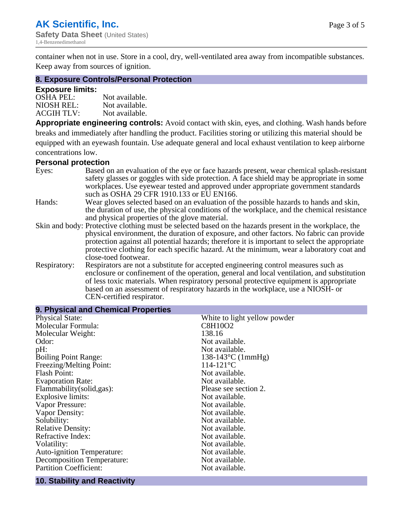container when not in use. Store in a cool, dry, well-ventilated area away from incompatible substances. Keep away from sources of ignition.

#### **8. Exposure Controls/Personal Protection**

#### **Exposure limits:**

| <b>OSHA PEL:</b>  | Not available. |
|-------------------|----------------|
| NIOSH REL:        | Not available. |
| <b>ACGIH TLV:</b> | Not available. |

**Appropriate engineering controls:** Avoid contact with skin, eyes, and clothing. Wash hands before breaks and immediately after handling the product. Facilities storing or utilizing this material should be equipped with an eyewash fountain. Use adequate general and local exhaust ventilation to keep airborne concentrations low.

#### **Personal protection**

| Eyes:                                          | Based on an evaluation of the eye or face hazards present, wear chemical splash-resistant<br>safety glasses or goggles with side protection. A face shield may be appropriate in some |  |  |
|------------------------------------------------|---------------------------------------------------------------------------------------------------------------------------------------------------------------------------------------|--|--|
|                                                | workplaces. Use eyewear tested and approved under appropriate government standards<br>such as OSHA 29 CFR 1910.133 or EU EN166.                                                       |  |  |
| Hands:                                         | Wear gloves selected based on an evaluation of the possible hazards to hands and skin,                                                                                                |  |  |
|                                                | the duration of use, the physical conditions of the workplace, and the chemical resistance                                                                                            |  |  |
| and physical properties of the glove material. |                                                                                                                                                                                       |  |  |
|                                                | Skin and body: Protective clothing must be selected based on the hazards present in the workplace, the                                                                                |  |  |
|                                                | physical environment, the duration of exposure, and other factors. No fabric can provide                                                                                              |  |  |
|                                                | protection against all potential hazards; therefore it is important to select the appropriate                                                                                         |  |  |
|                                                | protective clothing for each specific hazard. At the minimum, wear a laboratory coat and                                                                                              |  |  |
|                                                | close-toed footwear.                                                                                                                                                                  |  |  |
| Respiratory:                                   | Respirators are not a substitute for accepted engineering control measures such as<br>enclosure or confinement of the operation, general and local ventilation, and substitution      |  |  |
|                                                | of less toxic materials. When respiratory personal protective equipment is appropriate                                                                                                |  |  |
|                                                | based on an assessment of respiratory hazards in the workplace, use a NIOSH- or                                                                                                       |  |  |
|                                                | CEN-certified respirator.                                                                                                                                                             |  |  |

| 9. Physical and Chemical Properties |                              |
|-------------------------------------|------------------------------|
| <b>Physical State:</b>              | White to light yellow powder |
| Molecular Formula:                  | C8H10O2                      |
| Molecular Weight:                   | 138.16                       |
| Odor:                               | Not available.               |
| pH:                                 | Not available.               |
| <b>Boiling Point Range:</b>         | $138-143$ °C (1mmHg)         |
| Freezing/Melting Point:             | $114 - 121$ °C               |
| <b>Flash Point:</b>                 | Not available.               |
| <b>Evaporation Rate:</b>            | Not available.               |
| Flammability(solid,gas):            | Please see section 2.        |
| Explosive limits:                   | Not available.               |
| Vapor Pressure:                     | Not available.               |
| Vapor Density:                      | Not available.               |
| Solubility:                         | Not available.               |
| <b>Relative Density:</b>            | Not available.               |
| Refractive Index:                   | Not available.               |
| Volatility:                         | Not available.               |
| <b>Auto-ignition Temperature:</b>   | Not available.               |
| <b>Decomposition Temperature:</b>   | Not available.               |
| <b>Partition Coefficient:</b>       | Not available.               |

#### **10. Stability and Reactivity**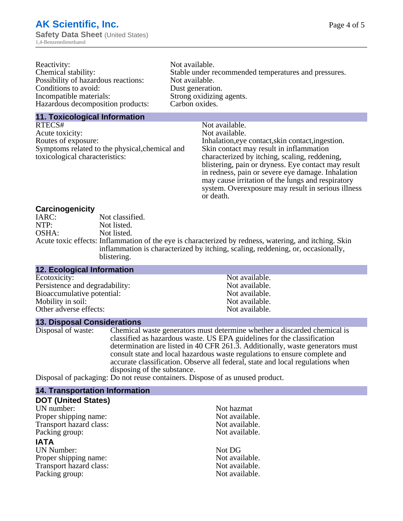| Reactivity:                         | Not available.                                       |
|-------------------------------------|------------------------------------------------------|
| Chemical stability:                 | Stable under recommended temperatures and pressures. |
| Possibility of hazardous reactions: | Not available.                                       |
| Conditions to avoid:                | Dust generation.                                     |
| Incompatible materials:             | Strong oxidizing agents.                             |
| Hazardous decomposition products:   | Carbon oxides.                                       |
|                                     |                                                      |

#### **11. Toxicological Information**

| RTECS#                                         | Not available.                                      |  |
|------------------------------------------------|-----------------------------------------------------|--|
| Acute toxicity:                                | Not available.                                      |  |
| Routes of exposure:                            | Inhalation, eye contact, skin contact, ingestion.   |  |
| Symptoms related to the physical, chemical and | Skin contact may result in inflammation             |  |
| toxicological characteristics:                 | characterized by itching, scaling, reddening,       |  |
|                                                | blistering, pain or dryness. Eye contact may result |  |
|                                                | in redness, pain or severe eye damage. Inhalation   |  |
|                                                | may cause irritation of the lungs and respiratory   |  |
|                                                | system. Overexposure may result in serious illness  |  |
|                                                |                                                     |  |

or death.

#### **Carcinogenicity**

| IARC: | Not classified.                                                                                       |
|-------|-------------------------------------------------------------------------------------------------------|
| NTP:  | Not listed.                                                                                           |
| OSHA: | Not listed.                                                                                           |
|       | Acute toxic effects: Inflammation of the eye is characterized by redness, watering, and itching. Skin |
|       | inflammation is characterized by itching, scaling, reddening, or, occasionally,                       |
|       | blistering.                                                                                           |

#### **13. Disposal Considerations**

Disposal of waste: Chemical waste generators must determine whether a discarded chemical is classified as hazardous waste. US EPA guidelines for the classification determination are listed in 40 CFR 261.3. Additionally, waste generators must consult state and local hazardous waste regulations to ensure complete and accurate classification. Observe all federal, state and local regulations when disposing of the substance.

Disposal of packaging: Do not reuse containers. Dispose of as unused product.

| <b>14. Transportation Information</b> |                |
|---------------------------------------|----------------|
| <b>DOT (United States)</b>            |                |
| UN number:                            | Not hazmat     |
| Proper shipping name:                 | Not available. |
| Transport hazard class:               | Not available. |
| Packing group:                        | Not available. |
| <b>IATA</b>                           |                |
| <b>UN Number:</b>                     | Not DG         |
| Proper shipping name:                 | Not available. |
| Transport hazard class:               | Not available. |
| Packing group:                        | Not available. |